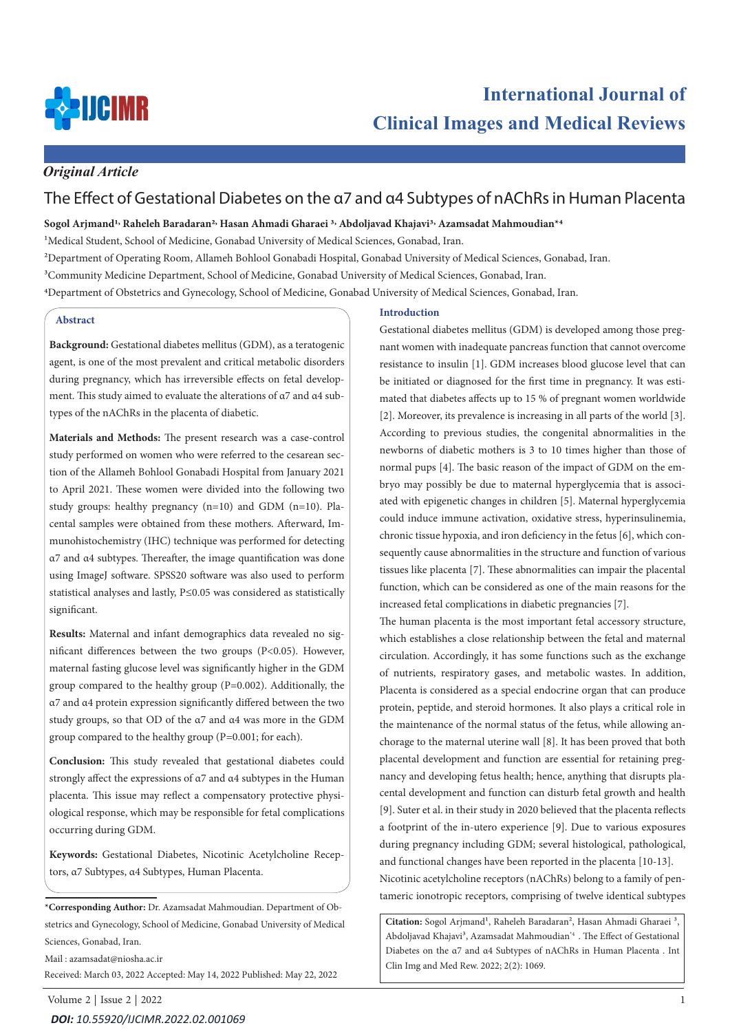

## *Original Article*

# The Effect of Gestational Diabetes on the α7 and α4 Subtypes of nAChRs in Human Placenta

### **Sogol Arjmand1, Raheleh Baradaran2, Hasan Ahmadi Gharaei 3, Abdoljavad Khajavi3, Azamsadat Mahmoudian\*4**

<sup>1</sup>Medical Student, School of Medicine, Gonabad University of Medical Sciences, Gonabad, Iran.

2Department of Operating Room, Allameh Bohlool Gonabadi Hospital, Gonabad University of Medical Sciences, Gonabad, Iran.

3Community Medicine Department, School of Medicine, Gonabad University of Medical Sciences, Gonabad, Iran.

4Department of Obstetrics and Gynecology, School of Medicine, Gonabad University of Medical Sciences, Gonabad, Iran.

### **Abstract**

**Background:** Gestational diabetes mellitus (GDM), as a teratogenic agent, is one of the most prevalent and critical metabolic disorders during pregnancy, which has irreversible effects on fetal development. This study aimed to evaluate the alterations of α7 and α4 subtypes of the nAChRs in the placenta of diabetic.

**Materials and Methods:** The present research was a case-control study performed on women who were referred to the cesarean section of the Allameh Bohlool Gonabadi Hospital from January 2021 to April 2021. These women were divided into the following two study groups: healthy pregnancy (n=10) and GDM (n=10). Placental samples were obtained from these mothers. Afterward, Immunohistochemistry (IHC) technique was performed for detecting α7 and α4 subtypes. Thereafter, the image quantification was done using ImageJ software. SPSS20 software was also used to perform statistical analyses and lastly, P≤0.05 was considered as statistically significant.

**Results:** Maternal and infant demographics data revealed no significant differences between the two groups (P<0.05). However, maternal fasting glucose level was significantly higher in the GDM group compared to the healthy group (P=0.002). Additionally, the α7 and α4 protein expression significantly differed between the two study groups, so that OD of the α7 and α4 was more in the GDM group compared to the healthy group (P=0.001; for each).

**Conclusion:** This study revealed that gestational diabetes could strongly affect the expressions of α7 and α4 subtypes in the Human placenta. This issue may reflect a compensatory protective physiological response, which may be responsible for fetal complications occurring during GDM.

**Keywords:** Gestational Diabetes, Nicotinic Acetylcholine Receptors, α7 Subtypes, α4 Subtypes, Human Placenta.

**\*Corresponding Author:** Dr. Azamsadat Mahmoudian. Department of Obstetrics and Gynecology, School of Medicine, Gonabad University of Medical Sciences, Gonabad, Iran.

Mail : azamsadat@niosha.ac.ir Received: March 03, 2022 Accepted: May 14, 2022 Published: May 22, 2022

### **Introduction**

Gestational diabetes mellitus (GDM) is developed among those pregnant women with inadequate pancreas function that cannot overcome resistance to insulin [1]. GDM increases blood glucose level that can be initiated or diagnosed for the first time in pregnancy. It was estimated that diabetes affects up to 15 % of pregnant women worldwide [2]. Moreover, its prevalence is increasing in all parts of the world [3]. According to previous studies, the congenital abnormalities in the newborns of diabetic mothers is 3 to 10 times higher than those of normal pups [4]. The basic reason of the impact of GDM on the embryo may possibly be due to maternal hyperglycemia that is associated with epigenetic changes in children [5]. Maternal hyperglycemia could induce immune activation, oxidative stress, hyperinsulinemia, chronic tissue hypoxia, and iron deficiency in the fetus [6], which consequently cause abnormalities in the structure and function of various tissues like placenta [7]. These abnormalities can impair the placental function, which can be considered as one of the main reasons for the increased fetal complications in diabetic pregnancies [7].

The human placenta is the most important fetal accessory structure, which establishes a close relationship between the fetal and maternal circulation. Accordingly, it has some functions such as the exchange of nutrients, respiratory gases, and metabolic wastes. In addition, Placenta is considered as a special endocrine organ that can produce protein, peptide, and steroid hormones. It also plays a critical role in the maintenance of the normal status of the fetus, while allowing anchorage to the maternal uterine wall [8]. It has been proved that both placental development and function are essential for retaining pregnancy and developing fetus health; hence, anything that disrupts placental development and function can disturb fetal growth and health [9]. Suter et al. in their study in 2020 believed that the placenta reflects a footprint of the in-utero experience [9]. Due to various exposures during pregnancy including GDM; several histological, pathological, and functional changes have been reported in the placenta [10-13]. Nicotinic acetylcholine receptors (nAChRs) belong to a family of pentameric ionotropic receptors, comprising of twelve identical subtypes

Citation: Sogol Arjmand<sup>1</sup>, Raheleh Baradaran<sup>2</sup>, Hasan Ahmadi Gharaei<sup>3</sup>, Abdoljavad Khajavi<sup>3</sup>, Azamsadat Mahmoudian<sup>\*4</sup> . The Effect of Gestational Diabetes on the α7 and α4 Subtypes of nAChRs in Human Placenta . Int Clin Img and Med Rew. 2022; 2(2): 1069.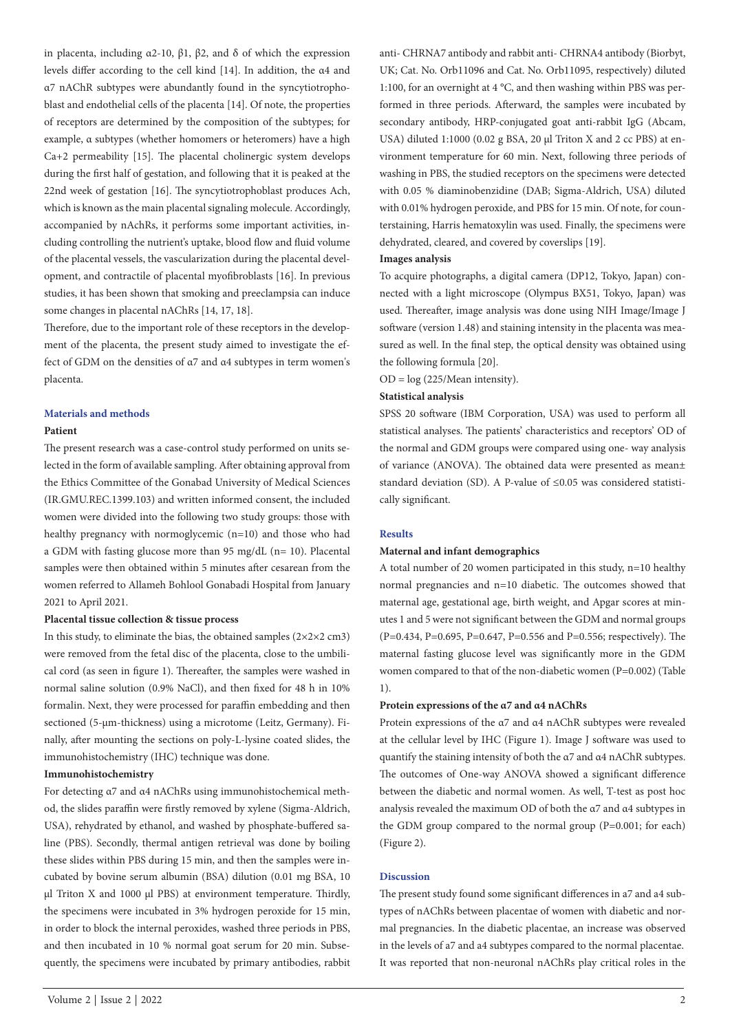in placenta, including α2-10, β1, β2, and δ of which the expression levels differ according to the cell kind [14]. In addition, the α4 and α7 nAChR subtypes were abundantly found in the syncytiotrophoblast and endothelial cells of the placenta [14]. Of note, the properties of receptors are determined by the composition of the subtypes; for example, α subtypes (whether homomers or heteromers) have a high Ca+2 permeability [15]. The placental cholinergic system develops during the first half of gestation, and following that it is peaked at the 22nd week of gestation [16]. The syncytiotrophoblast produces Ach, which is known as the main placental signaling molecule. Accordingly, accompanied by nAchRs, it performs some important activities, including controlling the nutrient's uptake, blood flow and fluid volume of the placental vessels, the vascularization during the placental development, and contractile of placental myofibroblasts [16]. In previous studies, it has been shown that smoking and preeclampsia can induce some changes in placental nAChRs [14, 17, 18].

Therefore, due to the important role of these receptors in the development of the placenta, the present study aimed to investigate the effect of GDM on the densities of α7 and α4 subtypes in term women's placenta.

### **Materials and methods**

### **Patient**

The present research was a case-control study performed on units selected in the form of available sampling. After obtaining approval from the Ethics Committee of the Gonabad University of Medical Sciences (IR.GMU.REC.1399.103) and written informed consent, the included women were divided into the following two study groups: those with healthy pregnancy with normoglycemic (n=10) and those who had a GDM with fasting glucose more than 95 mg/dL (n= 10). Placental samples were then obtained within 5 minutes after cesarean from the women referred to Allameh Bohlool Gonabadi Hospital from January 2021 to April 2021.

### **Placental tissue collection & tissue process**

In this study, to eliminate the bias, the obtained samples  $(2\times2\times2 \text{ cm}^3)$ were removed from the fetal disc of the placenta, close to the umbilical cord (as seen in figure 1). Thereafter, the samples were washed in normal saline solution (0.9% NaCl), and then fixed for 48 h in 10% formalin. Next, they were processed for paraffin embedding and then sectioned (5-µm-thickness) using a microtome (Leitz, Germany). Finally, after mounting the sections on poly-L-lysine coated slides, the immunohistochemistry (IHC) technique was done.

### **Immunohistochemistry**

For detecting α7 and α4 nAChRs using immunohistochemical method, the slides paraffin were firstly removed by xylene (Sigma-Aldrich, USA), rehydrated by ethanol, and washed by phosphate-buffered saline (PBS). Secondly, thermal antigen retrieval was done by boiling these slides within PBS during 15 min, and then the samples were incubated by bovine serum albumin (BSA) dilution (0.01 mg BSA, 10 µl Triton X and 1000 µl PBS) at environment temperature. Thirdly, the specimens were incubated in 3% hydrogen peroxide for 15 min, in order to block the internal peroxides, washed three periods in PBS, and then incubated in 10 % normal goat serum for 20 min. Subsequently, the specimens were incubated by primary antibodies, rabbit anti- CHRNA7 antibody and rabbit anti- CHRNA4 antibody (Biorbyt, UK; Cat. No. Orb11096 and Cat. No. Orb11095, respectively) diluted 1:100, for an overnight at 4 °C, and then washing within PBS was performed in three periods. Afterward, the samples were incubated by secondary antibody, HRP-conjugated goat anti-rabbit IgG (Abcam, USA) diluted 1:1000 (0.02 g BSA, 20 µl Triton X and 2 cc PBS) at environment temperature for 60 min. Next, following three periods of washing in PBS, the studied receptors on the specimens were detected with 0.05 % diaminobenzidine (DAB; Sigma-Aldrich, USA) diluted with 0.01% hydrogen peroxide, and PBS for 15 min. Of note, for counterstaining, Harris hematoxylin was used. Finally, the specimens were dehydrated, cleared, and covered by coverslips [19].

### **Images analysis**

To acquire photographs, a digital camera (DP12, Tokyo, Japan) connected with a light microscope (Olympus BX51, Tokyo, Japan) was used. Thereafter, image analysis was done using NIH Image/Image J software (version 1.48) and staining intensity in the placenta was measured as well. In the final step, the optical density was obtained using the following formula [20].

 $OD = log(225/Mean intensity).$ 

### **Statistical analysis**

SPSS 20 software (IBM Corporation, USA) was used to perform all statistical analyses. The patients' characteristics and receptors' OD of the normal and GDM groups were compared using one- way analysis of variance (ANOVA). The obtained data were presented as mean± standard deviation (SD). A P-value of ≤0.05 was considered statistically significant.

#### **Results**

#### **Maternal and infant demographics**

A total number of 20 women participated in this study, n=10 healthy normal pregnancies and n=10 diabetic. The outcomes showed that maternal age, gestational age, birth weight, and Apgar scores at minutes 1 and 5 were not significant between the GDM and normal groups (P=0.434, P=0.695, P=0.647, P=0.556 and P=0.556; respectively). The maternal fasting glucose level was significantly more in the GDM women compared to that of the non-diabetic women (P=0.002) (Table 1).

#### **Protein expressions of the α7 and α4 nAChRs**

Protein expressions of the α7 and α4 nAChR subtypes were revealed at the cellular level by IHC (Figure 1). Image J software was used to quantify the staining intensity of both the α7 and α4 nAChR subtypes. The outcomes of One-way ANOVA showed a significant difference between the diabetic and normal women. As well, T-test as post hoc analysis revealed the maximum OD of both the α7 and α4 subtypes in the GDM group compared to the normal group (P=0.001; for each) (Figure 2).

#### **Discussion**

The present study found some significant differences in a7 and a4 subtypes of nAChRs between placentae of women with diabetic and normal pregnancies. In the diabetic placentae, an increase was observed in the levels of a7 and a4 subtypes compared to the normal placentae. It was reported that non-neuronal nAChRs play critical roles in the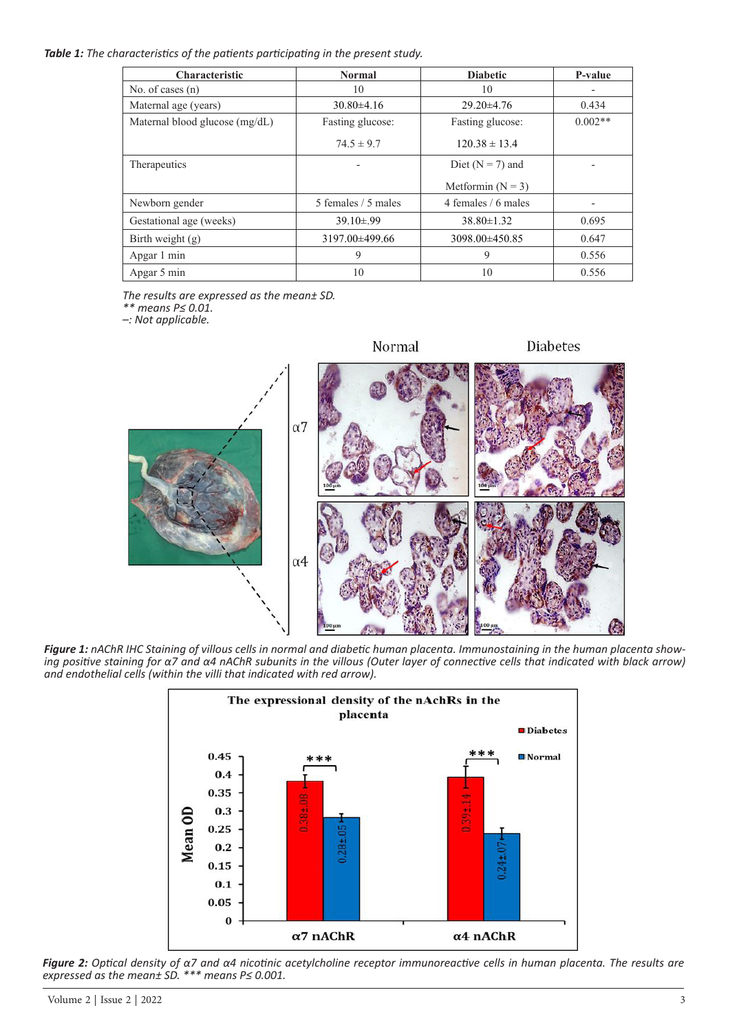*Table 1: The characteristics of the patients participating in the present study.*

| <b>Characteristic</b>          | <b>Normal</b>       | <b>Diabetic</b>      | P-value   |
|--------------------------------|---------------------|----------------------|-----------|
| No. of cases $(n)$             | 10                  | 10                   |           |
| Maternal age (years)           | $30.80\pm4.16$      | $29.20 \pm 4.76$     | 0.434     |
| Maternal blood glucose (mg/dL) | Fasting glucose:    | Fasting glucose:     | $0.002**$ |
|                                | $74.5 \pm 9.7$      | $120.38 \pm 13.4$    |           |
| Therapeutics                   |                     | Diet ( $N = 7$ ) and |           |
|                                |                     | Metformin $(N = 3)$  |           |
| Newborn gender                 | 5 females / 5 males | 4 females / 6 males  |           |
| Gestational age (weeks)        | $39.10\pm.99$       | $38.80 \pm 1.32$     | 0.695     |
| Birth weight $(g)$             | 3197.00±499.66      | 3098.00±450.85       | 0.647     |
| Apgar 1 min                    | 9                   | 9                    | 0.556     |
| Apgar 5 min                    | 10                  | 10                   | 0.556     |

*The results are expressed as the mean± SD.* 

*\*\* means P≤ 0.01.*

*–: Not applicable.*



*Figure 1: nAChR IHC Staining of villous cells in normal and diabetic human placenta. Immunostaining in the human placenta showing positive staining for α7 and α4 nAChR subunits in the villous (Outer layer of connective cells that indicated with black arrow) and endothelial cells (within the villi that indicated with red arrow).* 



*Figure 2: Optical density of α7 and α4 nicotinic acetylcholine receptor immunoreactive cells in human placenta. The results are expressed as the mean± SD. \*\*\* means P≤ 0.001.*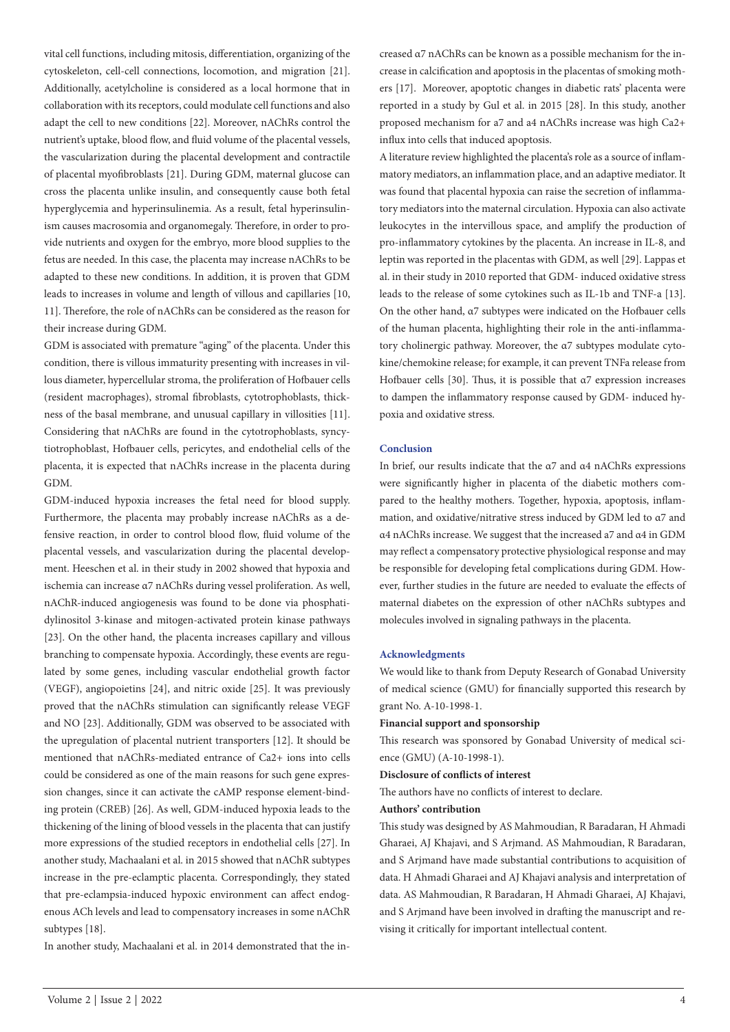vital cell functions, including mitosis, differentiation, organizing of the cytoskeleton, cell-cell connections, locomotion, and migration [21]. Additionally, acetylcholine is considered as a local hormone that in collaboration with its receptors, could modulate cell functions and also adapt the cell to new conditions [22]. Moreover, nAChRs control the nutrient's uptake, blood flow, and fluid volume of the placental vessels, the vascularization during the placental development and contractile of placental myofibroblasts [21]. During GDM, maternal glucose can cross the placenta unlike insulin, and consequently cause both fetal hyperglycemia and hyperinsulinemia. As a result, fetal hyperinsulinism causes macrosomia and organomegaly. Therefore, in order to provide nutrients and oxygen for the embryo, more blood supplies to the fetus are needed. In this case, the placenta may increase nAChRs to be adapted to these new conditions. In addition, it is proven that GDM leads to increases in volume and length of villous and capillaries [10, 11]. Therefore, the role of nAChRs can be considered as the reason for their increase during GDM.

GDM is associated with premature "aging" of the placenta. Under this condition, there is villous immaturity presenting with increases in villous diameter, hypercellular stroma, the proliferation of Hofbauer cells (resident macrophages), stromal fibroblasts, cytotrophoblasts, thickness of the basal membrane, and unusual capillary in villosities [11]. Considering that nAChRs are found in the cytotrophoblasts, syncytiotrophoblast, Hofbauer cells, pericytes, and endothelial cells of the placenta, it is expected that nAChRs increase in the placenta during GDM.

GDM-induced hypoxia increases the fetal need for blood supply. Furthermore, the placenta may probably increase nAChRs as a defensive reaction, in order to control blood flow, fluid volume of the placental vessels, and vascularization during the placental development. Heeschen et al. in their study in 2002 showed that hypoxia and ischemia can increase α7 nAChRs during vessel proliferation. As well, nAChR-induced angiogenesis was found to be done via phosphatidylinositol 3-kinase and mitogen-activated protein kinase pathways [23]. On the other hand, the placenta increases capillary and villous branching to compensate hypoxia. Accordingly, these events are regulated by some genes, including vascular endothelial growth factor (VEGF), angiopoietins [24], and nitric oxide [25]. It was previously proved that the nAChRs stimulation can significantly release VEGF and NO [23]. Additionally, GDM was observed to be associated with the upregulation of placental nutrient transporters [12]. It should be mentioned that nAChRs-mediated entrance of Ca2+ ions into cells could be considered as one of the main reasons for such gene expression changes, since it can activate the cAMP response element-binding protein (CREB) [26]. As well, GDM-induced hypoxia leads to the thickening of the lining of blood vessels in the placenta that can justify more expressions of the studied receptors in endothelial cells [27]. In another study, Machaalani et al. in 2015 showed that nAChR subtypes increase in the pre-eclamptic placenta. Correspondingly, they stated that pre-eclampsia-induced hypoxic environment can affect endogenous ACh levels and lead to compensatory increases in some nAChR subtypes [18].

In another study, Machaalani et al. in 2014 demonstrated that the in-

creased α7 nAChRs can be known as a possible mechanism for the increase in calcification and apoptosis in the placentas of smoking mothers [17]. Moreover, apoptotic changes in diabetic rats' placenta were reported in a study by Gul et al. in 2015 [28]. In this study, another proposed mechanism for a7 and a4 nAChRs increase was high Ca2+ influx into cells that induced apoptosis.

A literature review highlighted the placenta's role as a source of inflammatory mediators, an inflammation place, and an adaptive mediator. It was found that placental hypoxia can raise the secretion of inflammatory mediators into the maternal circulation. Hypoxia can also activate leukocytes in the intervillous space, and amplify the production of pro-inflammatory cytokines by the placenta. An increase in IL-8, and leptin was reported in the placentas with GDM, as well [29]. Lappas et al. in their study in 2010 reported that GDM- induced oxidative stress leads to the release of some cytokines such as IL-1b and TNF-a [13]. On the other hand, α7 subtypes were indicated on the Hofbauer cells of the human placenta, highlighting their role in the anti-inflammatory cholinergic pathway. Moreover, the α7 subtypes modulate cytokine/chemokine release; for example, it can prevent TNFa release from Hofbauer cells [30]. Thus, it is possible that  $\alpha$ 7 expression increases to dampen the inflammatory response caused by GDM- induced hypoxia and oxidative stress.

### **Conclusion**

In brief, our results indicate that the α7 and α4 nAChRs expressions were significantly higher in placenta of the diabetic mothers compared to the healthy mothers. Together, hypoxia, apoptosis, inflammation, and oxidative/nitrative stress induced by GDM led to α7 and α4 nAChRs increase. We suggest that the increased a7 and α4 in GDM may reflect a compensatory protective physiological response and may be responsible for developing fetal complications during GDM. However, further studies in the future are needed to evaluate the effects of maternal diabetes on the expression of other nAChRs subtypes and molecules involved in signaling pathways in the placenta.

### **Acknowledgments**

We would like to thank from Deputy Research of Gonabad University of medical science (GMU) for financially supported this research by grant No. A-10-1998-1.

#### **Financial support and sponsorship**

This research was sponsored by Gonabad University of medical science (GMU) (A-10-1998-1).

#### **Disclosure of conflicts of interest**

The authors have no conflicts of interest to declare.

### **Authors' contribution**

This study was designed by AS Mahmoudian, R Baradaran, H Ahmadi Gharaei, AJ Khajavi, and S Arjmand. AS Mahmoudian, R Baradaran, and S Arjmand have made substantial contributions to acquisition of data. H Ahmadi Gharaei and AJ Khajavi analysis and interpretation of data. AS Mahmoudian, R Baradaran, H Ahmadi Gharaei, AJ Khajavi, and S Arjmand have been involved in drafting the manuscript and revising it critically for important intellectual content.